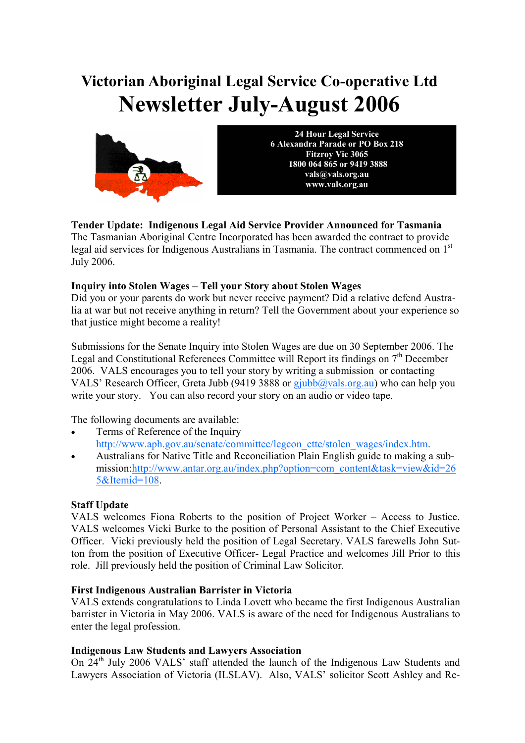# **Victorian Aboriginal Legal Service Co-operative Ltd Newsletter July-August 2006**



**24 Hour Legal Service 6 Alexandra Parade or PO Box 218 Fitzroy Vic 3065 1800 064 865 or 9419 3888 vals@vals.org.au www.vals.org.au** 

# **Tender Update: Indigenous Legal Aid Service Provider Announced for Tasmania**

The Tasmanian Aboriginal Centre Incorporated has been awarded the contract to provide legal aid services for Indigenous Australians in Tasmania. The contract commenced on 1st July 2006.

### **Inquiry into Stolen Wages – Tell your Story about Stolen Wages**

Did you or your parents do work but never receive payment? Did a relative defend Australia at war but not receive anything in return? Tell the Government about your experience so that justice might become a reality!

Submissions for the Senate Inquiry into Stolen Wages are due on 30 September 2006. The Legal and Constitutional References Committee will Report its findings on  $7<sup>th</sup>$  December 2006. VALS encourages you to tell your story by writing a submission or contacting VALS' Research Officer, Greta Jubb (9419 3888 or  $q$  giubb $\omega$ vals.org.au) who can help you write your story. You can also record your story on an audio or video tape.

The following documents are available:

- Terms of Reference of the Inquiry http://www.aph.gov.au/senate/committee/legcon\_ctte/stolen\_wages/index.htm.
- Australians for Native Title and Reconciliation Plain English guide to making a submission:http://www.antar.org.au/index.php?option=com\_content&task=view&id=26 5&Itemid=108.

#### **Staff Update**

VALS welcomes Fiona Roberts to the position of Project Worker – Access to Justice. VALS welcomes Vicki Burke to the position of Personal Assistant to the Chief Executive Officer. Vicki previously held the position of Legal Secretary. VALS farewells John Sutton from the position of Executive Officer- Legal Practice and welcomes Jill Prior to this role. Jill previously held the position of Criminal Law Solicitor.

#### **First Indigenous Australian Barrister in Victoria**

VALS extends congratulations to Linda Lovett who became the first Indigenous Australian barrister in Victoria in May 2006. VALS is aware of the need for Indigenous Australians to enter the legal profession.

#### **Indigenous Law Students and Lawyers Association**

On 24<sup>th</sup> July 2006 VALS' staff attended the launch of the Indigenous Law Students and Lawyers Association of Victoria (ILSLAV). Also, VALS' solicitor Scott Ashley and Re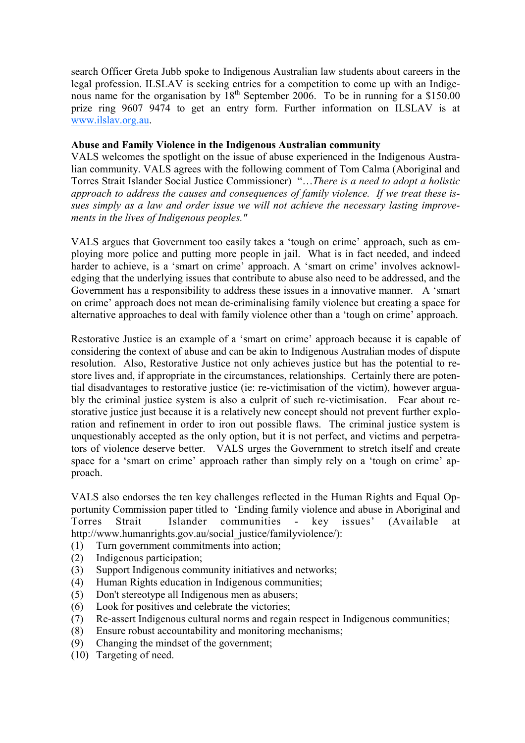search Officer Greta Jubb spoke to Indigenous Australian law students about careers in the legal profession. ILSLAV is seeking entries for a competition to come up with an Indigenous name for the organisation by 18<sup>th</sup> September 2006. To be in running for a \$150.00 prize ring 9607 9474 to get an entry form. Further information on ILSLAV is at www.ilslav.org.au.

#### **Abuse and Family Violence in the Indigenous Australian community**

VALS welcomes the spotlight on the issue of abuse experienced in the Indigenous Australian community. VALS agrees with the following comment of Tom Calma (Aboriginal and Torres Strait Islander Social Justice Commissioner) "…*There is a need to adopt a holistic approach to address the causes and consequences of family violence. If we treat these issues simply as a law and order issue we will not achieve the necessary lasting improvements in the lives of Indigenous peoples."*

VALS argues that Government too easily takes a 'tough on crime' approach, such as employing more police and putting more people in jail. What is in fact needed, and indeed harder to achieve, is a 'smart on crime' approach. A 'smart on crime' involves acknowledging that the underlying issues that contribute to abuse also need to be addressed, and the Government has a responsibility to address these issues in a innovative manner. A 'smart on crime' approach does not mean de-criminalising family violence but creating a space for alternative approaches to deal with family violence other than a 'tough on crime' approach.

Restorative Justice is an example of a 'smart on crime' approach because it is capable of considering the context of abuse and can be akin to Indigenous Australian modes of dispute resolution. Also, Restorative Justice not only achieves justice but has the potential to restore lives and, if appropriate in the circumstances, relationships. Certainly there are potential disadvantages to restorative justice (ie: re-victimisation of the victim), however arguably the criminal justice system is also a culprit of such re-victimisation. Fear about restorative justice just because it is a relatively new concept should not prevent further exploration and refinement in order to iron out possible flaws. The criminal justice system is unquestionably accepted as the only option, but it is not perfect, and victims and perpetrators of violence deserve better. VALS urges the Government to stretch itself and create space for a 'smart on crime' approach rather than simply rely on a 'tough on crime' approach.

VALS also endorses the ten key challenges reflected in the Human Rights and Equal Opportunity Commission paper titled to 'Ending family violence and abuse in Aboriginal and Torres Strait Islander communities - key issues' (Available at http://www.humanrights.gov.au/social\_justice/familyviolence/):

- (1) Turn government commitments into action;
- (2) Indigenous participation;
- (3) Support Indigenous community initiatives and networks;
- (4) Human Rights education in Indigenous communities;
- (5) Don't stereotype all Indigenous men as abusers;
- (6) Look for positives and celebrate the victories;
- (7) Re-assert Indigenous cultural norms and regain respect in Indigenous communities;
- (8) Ensure robust accountability and monitoring mechanisms;
- (9) Changing the mindset of the government;
- (10) Targeting of need.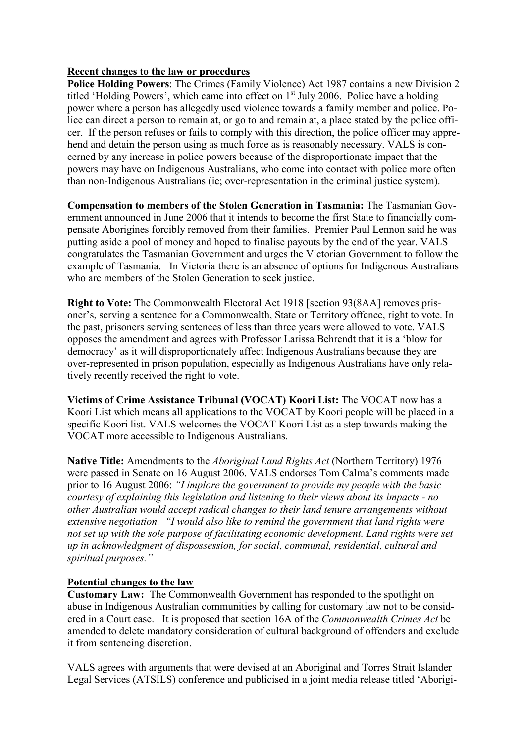#### **Recent changes to the law or procedures**

**Police Holding Powers:** The Crimes (Family Violence) Act 1987 contains a new Division 2 titled 'Holding Powers', which came into effect on  $1<sup>st</sup>$  July 2006. Police have a holding power where a person has allegedly used violence towards a family member and police. Police can direct a person to remain at, or go to and remain at, a place stated by the police officer. If the person refuses or fails to comply with this direction, the police officer may apprehend and detain the person using as much force as is reasonably necessary. VALS is concerned by any increase in police powers because of the disproportionate impact that the powers may have on Indigenous Australians, who come into contact with police more often than non-Indigenous Australians (ie; over-representation in the criminal justice system).

**Compensation to members of the Stolen Generation in Tasmania:** The Tasmanian Government announced in June 2006 that it intends to become the first State to financially compensate Aborigines forcibly removed from their families. Premier Paul Lennon said he was putting aside a pool of money and hoped to finalise payouts by the end of the year. VALS congratulates the Tasmanian Government and urges the Victorian Government to follow the example of Tasmania. In Victoria there is an absence of options for Indigenous Australians who are members of the Stolen Generation to seek justice.

**Right to Vote:** The Commonwealth Electoral Act 1918 [section 93(8AA] removes prisoner's, serving a sentence for a Commonwealth, State or Territory offence, right to vote. In the past, prisoners serving sentences of less than three years were allowed to vote. VALS opposes the amendment and agrees with Professor Larissa Behrendt that it is a 'blow for democracy' as it will disproportionately affect Indigenous Australians because they are over-represented in prison population, especially as Indigenous Australians have only relatively recently received the right to vote.

**Victims of Crime Assistance Tribunal (VOCAT) Koori List:** The VOCAT now has a Koori List which means all applications to the VOCAT by Koori people will be placed in a specific Koori list. VALS welcomes the VOCAT Koori List as a step towards making the VOCAT more accessible to Indigenous Australians.

**Native Title:** Amendments to the *Aboriginal Land Rights Act* (Northern Territory) 1976 were passed in Senate on 16 August 2006. VALS endorses Tom Calma's comments made prior to 16 August 2006: *"I implore the government to provide my people with the basic courtesy of explaining this legislation and listening to their views about its impacts - no other Australian would accept radical changes to their land tenure arrangements without extensive negotiation. "I would also like to remind the government that land rights were not set up with the sole purpose of facilitating economic development. Land rights were set up in acknowledgment of dispossession, for social, communal, residential, cultural and spiritual purposes."* 

#### **Potential changes to the law**

**Customary Law:** The Commonwealth Government has responded to the spotlight on abuse in Indigenous Australian communities by calling for customary law not to be considered in a Court case. It is proposed that section 16A of the *Commonwealth Crimes Act* be amended to delete mandatory consideration of cultural background of offenders and exclude it from sentencing discretion.

VALS agrees with arguments that were devised at an Aboriginal and Torres Strait Islander Legal Services (ATSILS) conference and publicised in a joint media release titled 'Aborigi